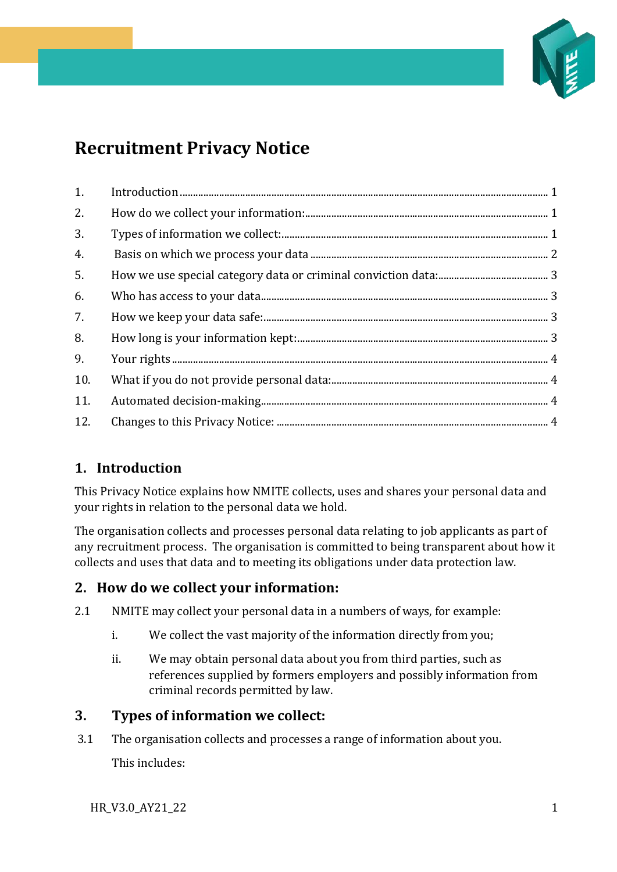

# **Recruitment Privacy Notice**

| 1.  |  |
|-----|--|
| 2.  |  |
| 3.  |  |
| 4.  |  |
| 5.  |  |
| 6.  |  |
| 7.  |  |
| 8.  |  |
| 9.  |  |
| 10. |  |
| 11. |  |
| 12. |  |

# <span id="page-0-0"></span>**1. Introduction**

This Privacy Notice explains how NMITE collects, uses and shares your personal data and your rights in relation to the personal data we hold.

The organisation collects and processes personal data relating to job applicants as part of any recruitment process. The organisation is committed to being transparent about how it collects and uses that data and to meeting its obligations under data protection law.

# <span id="page-0-1"></span>**2. How do we collect your information:**

- 2.1 NMITE may collect your personal data in a numbers of ways, for example:
	- i. We collect the vast majority of the information directly from you;
	- ii. We may obtain personal data about you from third parties, such as references supplied by formers employers and possibly information from criminal records permitted by law.

# <span id="page-0-2"></span>**3. Types of information we collect:**

3.1 The organisation collects and processes a range of information about you. This includes:

HR\_V3.0\_AY21\_22 1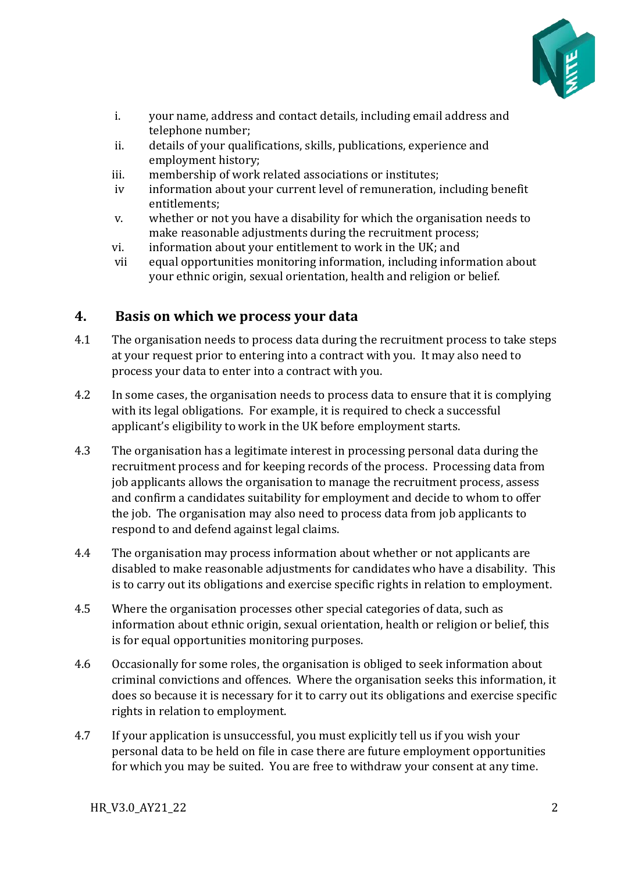

- i. your name, address and contact details, including email address and telephone number;
- ii. details of your qualifications, skills, publications, experience and employment history;
- iii. membership of work related associations or institutes;
- iv information about your current level of remuneration, including benefit entitlements;
- v. whether or not you have a disability for which the organisation needs to make reasonable adjustments during the recruitment process;
- vi. information about your entitlement to work in the UK; and
- vii equal opportunities monitoring information, including information about your ethnic origin, sexual orientation, health and religion or belief.

## <span id="page-1-0"></span>**4. Basis on which we process your data**

- 4.1 The organisation needs to process data during the recruitment process to take steps at your request prior to entering into a contract with you. It may also need to process your data to enter into a contract with you.
- 4.2 In some cases, the organisation needs to process data to ensure that it is complying with its legal obligations. For example, it is required to check a successful applicant's eligibility to work in the UK before employment starts.
- 4.3 The organisation has a legitimate interest in processing personal data during the recruitment process and for keeping records of the process. Processing data from job applicants allows the organisation to manage the recruitment process, assess and confirm a candidates suitability for employment and decide to whom to offer the job. The organisation may also need to process data from job applicants to respond to and defend against legal claims.
- 4.4 The organisation may process information about whether or not applicants are disabled to make reasonable adjustments for candidates who have a disability. This is to carry out its obligations and exercise specific rights in relation to employment.
- 4.5 Where the organisation processes other special categories of data, such as information about ethnic origin, sexual orientation, health or religion or belief, this is for equal opportunities monitoring purposes.
- 4.6 Occasionally for some roles, the organisation is obliged to seek information about criminal convictions and offences. Where the organisation seeks this information, it does so because it is necessary for it to carry out its obligations and exercise specific rights in relation to employment.
- 4.7 If your application is unsuccessful, you must explicitly tell us if you wish your personal data to be held on file in case there are future employment opportunities for which you may be suited. You are free to withdraw your consent at any time.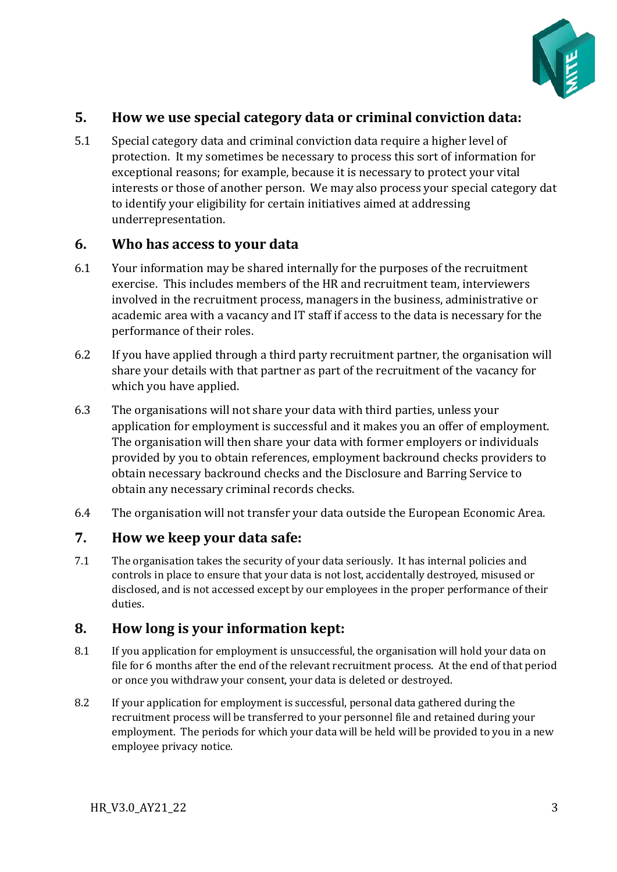

# <span id="page-2-0"></span>**5. How we use special category data or criminal conviction data:**

5.1 Special category data and criminal conviction data require a higher level of protection. It my sometimes be necessary to process this sort of information for exceptional reasons; for example, because it is necessary to protect your vital interests or those of another person. We may also process your special category dat to identify your eligibility for certain initiatives aimed at addressing underrepresentation.

#### <span id="page-2-1"></span>**6. Who has access to your data**

- 6.1 Your information may be shared internally for the purposes of the recruitment exercise. This includes members of the HR and recruitment team, interviewers involved in the recruitment process, managers in the business, administrative or academic area with a vacancy and IT staff if access to the data is necessary for the performance of their roles.
- 6.2 If you have applied through a third party recruitment partner, the organisation will share your details with that partner as part of the recruitment of the vacancy for which you have applied.
- 6.3 The organisations will not share your data with third parties, unless your application for employment is successful and it makes you an offer of employment. The organisation will then share your data with former employers or individuals provided by you to obtain references, employment backround checks providers to obtain necessary backround checks and the Disclosure and Barring Service to obtain any necessary criminal records checks.
- 6.4 The organisation will not transfer your data outside the European Economic Area.

#### <span id="page-2-2"></span>**7. How we keep your data safe:**

7.1 The organisation takes the security of your data seriously. It has internal policies and controls in place to ensure that your data is not lost, accidentally destroyed, misused or disclosed, and is not accessed except by our employees in the proper performance of their duties.

## <span id="page-2-3"></span>**8. How long is your information kept:**

- 8.1 If you application for employment is unsuccessful, the organisation will hold your data on file for 6 months after the end of the relevant recruitment process. At the end of that period or once you withdraw your consent, your data is deleted or destroyed.
- 8.2 If your application for employment is successful, personal data gathered during the recruitment process will be transferred to your personnel file and retained during your employment. The periods for which your data will be held will be provided to you in a new employee privacy notice.